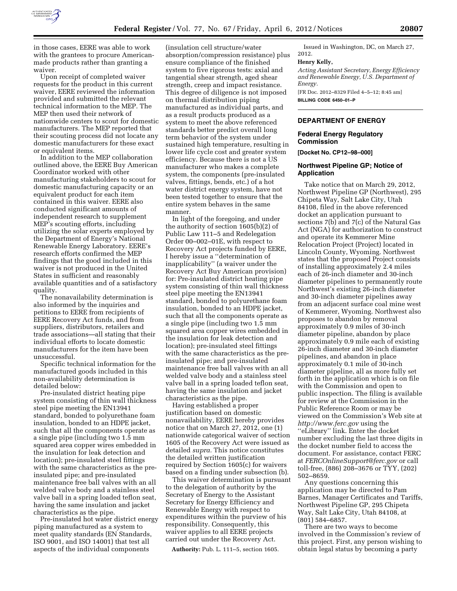

in those cases, EERE was able to work with the grantees to procure Americanmade products rather than granting a waiver.

Upon receipt of completed waiver requests for the product in this current waiver, EERE reviewed the information provided and submitted the relevant technical information to the MEP. The MEP then used their network of nationwide centers to scout for domestic manufacturers. The MEP reported that their scouting process did not locate any domestic manufacturers for these exact or equivalent items.

In addition to the MEP collaboration outlined above, the EERE Buy American Coordinator worked with other manufacturing stakeholders to scout for domestic manufacturing capacity or an equivalent product for each item contained in this waiver. EERE also conducted significant amounts of independent research to supplement MEP's scouting efforts, including utilizing the solar experts employed by the Department of Energy's National Renewable Energy Laboratory. EERE's research efforts confirmed the MEP findings that the good included in this waiver is not produced in the United States in sufficient and reasonably available quantities and of a satisfactory quality.

The nonavailability determination is also informed by the inquiries and petitions to EERE from recipients of EERE Recovery Act funds, and from suppliers, distributors, retailers and trade associations—all stating that their individual efforts to locate domestic manufacturers for the item have been unsuccessful.

Specific technical information for the manufactured goods included in this non-availability determination is detailed below:

Pre-insulated district heating pipe system consisting of thin wall thickness steel pipe meeting the EN13941 standard, bonded to polyurethane foam insulation, bonded to an HDPE jacket, such that all the components operate as a single pipe (including two 1.5 mm squared area copper wires embedded in the insulation for leak detection and location); pre-insulated steel fittings with the same characteristics as the preinsulated pipe; and pre-insulated maintenance free ball valves with an all welded valve body and a stainless steel valve ball in a spring loaded teflon seat, having the same insulation and jacket characteristics as the pipe.

Pre-insulated hot water district energy piping manufactured as a system to meet quality standards (EN Standards, ISO 9001, and ISO 14001) that test all aspects of the individual components

(insulation cell structure/water absorption/compression resistance) plus ensure compliance of the finished system to five rigorous tests: axial and tangential shear strength, aged shear strength, creep and impact resistance. This degree of diligence is not imposed on thermal distribution piping manufactured as individual parts, and as a result products produced as a system to meet the above referenced standards better predict overall long term behavior of the system under sustained high temperature, resulting in lower life cycle cost and greater system efficiency. Because there is not a US manufacturer who makes a complete system, the components (pre-insulated valves, fittings, bends, etc.) of a hot water district energy system, have not been tested together to ensure that the entire system behaves in the same manner.

In light of the foregoing, and under the authority of section 1605(b)(2) of Public Law 111–5 and Redelegation Order 00–002–01E, with respect to Recovery Act projects funded by EERE, I hereby issue a ''determination of inapplicability'' (a waiver under the Recovery Act Buy American provision) for: Pre-insulated district heating pipe system consisting of thin wall thickness steel pipe meeting the EN13941 standard, bonded to polyurethane foam insulation, bonded to an HDPE jacket, such that all the components operate as a single pipe (including two 1.5 mm squared area copper wires embedded in the insulation for leak detection and location); pre-insulated steel fittings with the same characteristics as the preinsulated pipe; and pre-insulated maintenance free ball valves with an all welded valve body and a stainless steel valve ball in a spring loaded teflon seat, having the same insulation and jacket characteristics as the pipe.

Having established a proper justification based on domestic nonavailability, EERE hereby provides notice that on March 27, 2012, one (1) nationwide categorical waiver of section 1605 of the Recovery Act were issued as detailed *supra.* This notice constitutes the detailed written justification required by Section 1605(c) for waivers based on a finding under subsection (b).

This waiver determination is pursuant to the delegation of authority by the Secretary of Energy to the Assistant Secretary for Energy Efficiency and Renewable Energy with respect to expenditures within the purview of his responsibility. Consequently, this waiver applies to all EERE projects carried out under the Recovery Act.

**Authority:** Pub. L. 111–5, section 1605.

Issued in Washington, DC, on March 27, 2012.

#### **Henry Kelly,**

*Acting Assistant Secretary, Energy Efficiency and Renewable Energy, U.S. Department of Energy.*  [FR Doc. 2012–8329 Filed 4–5–12; 8:45 am]

**BILLING CODE 6450–01–P** 

# **DEPARTMENT OF ENERGY**

# **Federal Energy Regulatory Commission**

**[Docket No. CP12–98–000]** 

### **Northwest Pipeline GP; Notice of Application**

Take notice that on March 29, 2012, Northwest Pipeline GP (Northwest), 295 Chipeta Way, Salt Lake City, Utah 84108, filed in the above referenced docket an application pursuant to sections 7(b) and 7(c) of the Natural Gas Act (NGA) for authorization to construct and operate its Kemmerer Mine Relocation Project (Project) located in Lincoln County, Wyoming. Northwest states that the proposed Project consists of installing approximately 2.4 miles each of 26-inch diameter and 30-inch diameter pipelines to permanently route Northwest's existing 26-inch diameter and 30-inch diameter pipelines away from an adjacent surface coal mine west of Kemmerer, Wyoming. Northwest also proposes to abandon by removal approximately 0.9 miles of 30-inch diameter pipeline, abandon by place approximately 0.9 mile each of existing 26-inch diameter and 30-inch diameter pipelines, and abandon in place approximately 0.1 mile of 30-inch diameter pipeline, all as more fully set forth in the application which is on file with the Commission and open to public inspection. The filing is available for review at the Commission in the Public Reference Room or may be viewed on the Commission's Web site at *<http://www.ferc.gov>*using the ''eLibrary'' link. Enter the docket number excluding the last three digits in the docket number field to access the document. For assistance, contact FERC at *[FERCOnlineSupport@ferc.gov](mailto:FERCOnlineSupport@ferc.gov)* or call toll-free, (886) 208–3676 or TYY, (202) 502–8659.

Any questions concerning this application may be directed to Pam Barnes, Manager Certificates and Tariffs, Northwest Pipeline GP, 295 Chipeta Way, Salt Lake City, Utah 84108, at (801) 584–6857.

There are two ways to become involved in the Commission's review of this project. First, any person wishing to obtain legal status by becoming a party